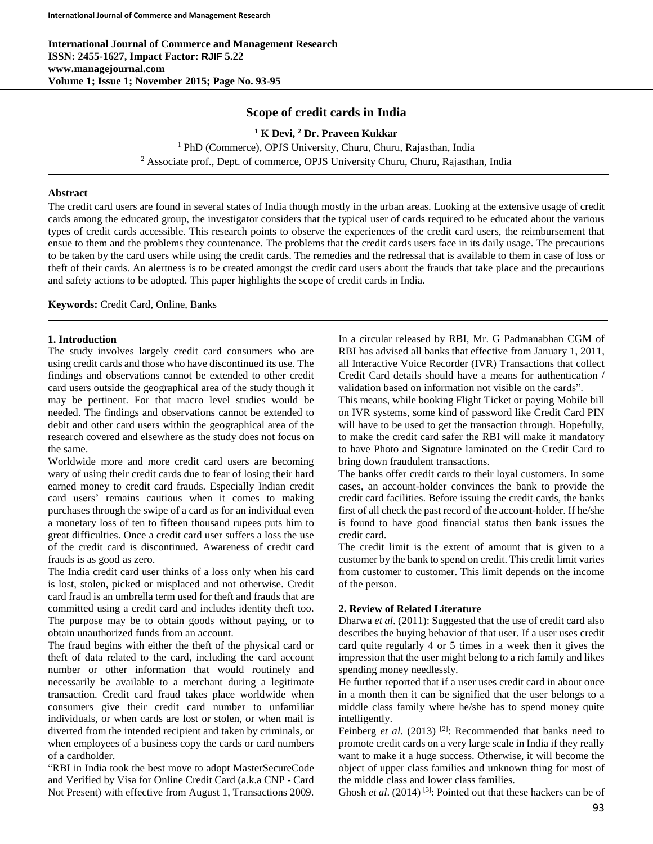**International Journal of Commerce and Management Research ISSN: 2455-1627, Impact Factor: RJIF 5.22 www.managejournal.com Volume 1; Issue 1; November 2015; Page No. 93-95**

# **Scope of credit cards in India**

**<sup>1</sup> K Devi, <sup>2</sup> Dr. Praveen Kukkar** <sup>1</sup> PhD (Commerce), OPJS University, Churu, Churu, Rajasthan, India

<sup>2</sup> Associate prof., Dept. of commerce, OPJS University Churu, Churu, Rajasthan, India

## **Abstract**

The credit card users are found in several states of India though mostly in the urban areas. Looking at the extensive usage of credit cards among the educated group, the investigator considers that the typical user of cards required to be educated about the various types of credit cards accessible. This research points to observe the experiences of the credit card users, the reimbursement that ensue to them and the problems they countenance. The problems that the credit cards users face in its daily usage. The precautions to be taken by the card users while using the credit cards. The remedies and the redressal that is available to them in case of loss or theft of their cards. An alertness is to be created amongst the credit card users about the frauds that take place and the precautions and safety actions to be adopted. This paper highlights the scope of credit cards in India*.*

**Keywords:** Credit Card, Online, Banks

### **1. Introduction**

The study involves largely credit card consumers who are using credit cards and those who have discontinued its use. The findings and observations cannot be extended to other credit card users outside the geographical area of the study though it may be pertinent. For that macro level studies would be needed. The findings and observations cannot be extended to debit and other card users within the geographical area of the research covered and elsewhere as the study does not focus on the same.

Worldwide more and more credit card users are becoming wary of using their credit cards due to fear of losing their hard earned money to credit card frauds. Especially Indian credit card users' remains cautious when it comes to making purchases through the swipe of a card as for an individual even a monetary loss of ten to fifteen thousand rupees puts him to great difficulties. Once a credit card user suffers a loss the use of the credit card is discontinued. Awareness of credit card frauds is as good as zero.

The India credit card user thinks of a loss only when his card is lost, stolen, picked or misplaced and not otherwise. Credit card fraud is an umbrella term used for theft and frauds that are committed using a credit card and includes identity theft too. The purpose may be to obtain goods without paying, or to obtain unauthorized funds from an account.

The fraud begins with either the theft of the physical card or theft of data related to the card, including the card account number or other information that would routinely and necessarily be available to a merchant during a legitimate transaction. Credit card fraud takes place worldwide when consumers give their credit card number to unfamiliar individuals, or when cards are lost or stolen, or when mail is diverted from the intended recipient and taken by criminals, or when employees of a business copy the cards or card numbers of a cardholder.

"RBI in India took the best move to adopt MasterSecureCode and Verified by Visa for Online Credit Card (a.k.a CNP - Card Not Present) with effective from August 1, Transactions 2009. In a circular released by RBI, Mr. G Padmanabhan CGM of RBI has advised all banks that effective from January 1, 2011, all Interactive Voice Recorder (IVR) Transactions that collect Credit Card details should have a means for authentication / validation based on information not visible on the cards".

This means, while booking Flight Ticket or paying Mobile bill on IVR systems, some kind of password like Credit Card PIN will have to be used to get the transaction through. Hopefully, to make the credit card safer the RBI will make it mandatory to have Photo and Signature laminated on the Credit Card to bring down fraudulent transactions.

The banks offer credit cards to their loyal customers. In some cases, an account-holder convinces the bank to provide the credit card facilities. Before issuing the credit cards, the banks first of all check the past record of the account-holder. If he/she is found to have good financial status then bank issues the credit card.

The credit limit is the extent of amount that is given to a customer by the bank to spend on credit. This credit limit varies from customer to customer. This limit depends on the income of the person.

## **2. Review of Related Literature**

Dharwa *et al*. (2011): Suggested that the use of credit card also describes the buying behavior of that user. If a user uses credit card quite regularly 4 or 5 times in a week then it gives the impression that the user might belong to a rich family and likes spending money needlessly.

He further reported that if a user uses credit card in about once in a month then it can be signified that the user belongs to a middle class family where he/she has to spend money quite intelligently.

Feinberg *et al.* (2013) <sup>[2]</sup>: Recommended that banks need to promote credit cards on a very large scale in India if they really want to make it a huge success. Otherwise, it will become the object of upper class families and unknown thing for most of the middle class and lower class families.

Ghosh *et al*. (2014) [3]: Pointed out that these hackers can be of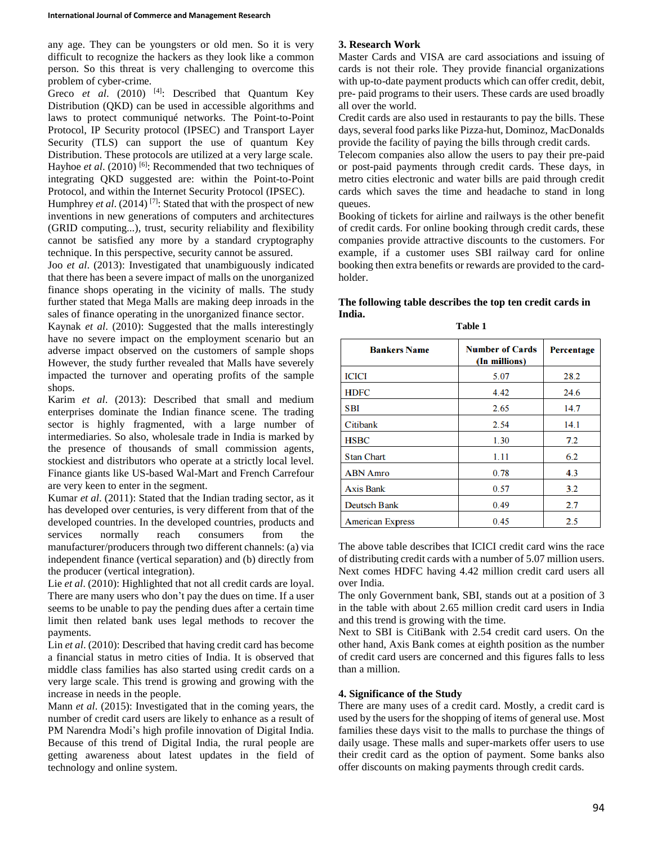any age. They can be youngsters or old men. So it is very difficult to recognize the hackers as they look like a common person. So this threat is very challenging to overcome this problem of cyber-crime.

Greco et al. (2010) <sup>[4]</sup>: Described that Quantum Key Distribution (QKD) can be used in accessible algorithms and laws to protect communiqué networks. The Point-to-Point Protocol, IP Security protocol (IPSEC) and Transport Layer Security (TLS) can support the use of quantum Key Distribution. These protocols are utilized at a very large scale. Hayhoe *et al.* (2010)<sup>[6]</sup>: Recommended that two techniques of integrating QKD suggested are: within the Point-to-Point Protocol, and within the Internet Security Protocol (IPSEC).

Humphrey *et al*. (2014) [7]: Stated that with the prospect of new inventions in new generations of computers and architectures (GRID computing...), trust, security reliability and flexibility cannot be satisfied any more by a standard cryptography technique. In this perspective, security cannot be assured.

Joo *et al*. (2013): Investigated that unambiguously indicated that there has been a severe impact of malls on the unorganized finance shops operating in the vicinity of malls. The study further stated that Mega Malls are making deep inroads in the sales of finance operating in the unorganized finance sector.

Kaynak *et al*. (2010): Suggested that the malls interestingly have no severe impact on the employment scenario but an adverse impact observed on the customers of sample shops However, the study further revealed that Malls have severely impacted the turnover and operating profits of the sample shops.

Karim *et al*. (2013): Described that small and medium enterprises dominate the Indian finance scene. The trading sector is highly fragmented, with a large number of intermediaries. So also, wholesale trade in India is marked by the presence of thousands of small commission agents, stockiest and distributors who operate at a strictly local level. Finance giants like US-based Wal-Mart and French Carrefour are very keen to enter in the segment.

Kumar *et al*. (2011): Stated that the Indian trading sector, as it has developed over centuries, is very different from that of the developed countries. In the developed countries, products and services normally reach consumers from the manufacturer/producers through two different channels: (a) via independent finance (vertical separation) and (b) directly from the producer (vertical integration).

Lie *et al*. (2010): Highlighted that not all credit cards are loyal. There are many users who don't pay the dues on time. If a user seems to be unable to pay the pending dues after a certain time limit then related bank uses legal methods to recover the payments.

Lin *et al*. (2010): Described that having credit card has become a financial status in metro cities of India. It is observed that middle class families has also started using credit cards on a very large scale. This trend is growing and growing with the increase in needs in the people.

Mann *et al*. (2015): Investigated that in the coming years, the number of credit card users are likely to enhance as a result of PM Narendra Modi's high profile innovation of Digital India. Because of this trend of Digital India, the rural people are getting awareness about latest updates in the field of technology and online system.

## **3. Research Work**

Master Cards and VISA are card associations and issuing of cards is not their role. They provide financial organizations with up-to-date payment products which can offer credit, debit, pre- paid programs to their users. These cards are used broadly all over the world.

Credit cards are also used in restaurants to pay the bills. These days, several food parks like Pizza-hut, Dominoz, MacDonalds provide the facility of paying the bills through credit cards.

Telecom companies also allow the users to pay their pre-paid or post-paid payments through credit cards. These days, in metro cities electronic and water bills are paid through credit cards which saves the time and headache to stand in long queues.

Booking of tickets for airline and railways is the other benefit of credit cards. For online booking through credit cards, these companies provide attractive discounts to the customers. For example, if a customer uses SBI railway card for online booking then extra benefits or rewards are provided to the cardholder.

#### **The following table describes the top ten credit cards in India. Table 1**

| <b>Bankers Name</b>     | <b>Number of Cards</b><br>(In millions) | <b>Percentage</b> |
|-------------------------|-----------------------------------------|-------------------|
| <b>ICICI</b>            | 5.07                                    | 28.2              |
| <b>HDFC</b>             | 4.42                                    | 24.6              |
| <b>SBI</b>              | 2.65                                    | 14.7              |
| Citibank                | 2.54                                    | 14.1              |
| <b>HSBC</b>             | 1.30                                    | 7.2               |
| <b>Stan Chart</b>       | 1.11                                    | 6.2               |
| <b>ABN</b> Amro         | 0.78                                    | 4.3               |
| <b>Axis Bank</b>        | 0.57                                    | 3.2               |
| <b>Deutsch Bank</b>     | 0.49                                    | 2.7               |
| <b>American Express</b> | 0.45                                    | 2.5               |

The above table describes that ICICI credit card wins the race of distributing credit cards with a number of 5.07 million users. Next comes HDFC having 4.42 million credit card users all over India.

The only Government bank, SBI, stands out at a position of 3 in the table with about 2.65 million credit card users in India and this trend is growing with the time.

Next to SBI is CitiBank with 2.54 credit card users. On the other hand, Axis Bank comes at eighth position as the number of credit card users are concerned and this figures falls to less than a million.

## **4. Significance of the Study**

There are many uses of a credit card. Mostly, a credit card is used by the users for the shopping of items of general use. Most families these days visit to the malls to purchase the things of daily usage. These malls and super-markets offer users to use their credit card as the option of payment. Some banks also offer discounts on making payments through credit cards.